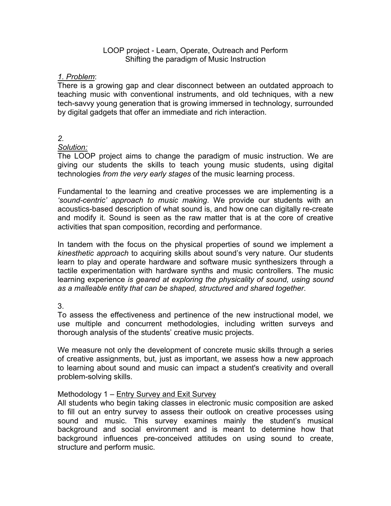#### LOOP project - Learn, Operate, Outreach and Perform Shifting the paradigm of Music Instruction

### *1. Problem*:

There is a growing gap and clear disconnect between an outdated approach to teaching music with conventional instruments, and old techniques, with a new tech-savvy young generation that is growing immersed in technology, surrounded by digital gadgets that offer an immediate and rich interaction.

## *2.*

### *Solution:*

The LOOP project aims to change the paradigm of music instruction. We are giving our students the skills to teach young music students, using digital technologies *from the very early stages* of the music learning process.

Fundamental to the learning and creative processes we are implementing is a *'sound-centric' approach to music making*. We provide our students with an acoustics-based description of what sound is, and how one can digitally re-create and modify it. Sound is seen as the raw matter that is at the core of creative activities that span composition, recording and performance.

In tandem with the focus on the physical properties of sound we implement a *kinesthetic approach* to acquiring skills about sound's very nature. Our students learn to play and operate hardware and software music synthesizers through a tactile experimentation with hardware synths and music controllers. The music learning experience *is geared at exploring the physicality of sound, using sound as a malleable entity that can be shaped, structured and shared together*.

3.

To assess the effectiveness and pertinence of the new instructional model, we use multiple and concurrent methodologies, including written surveys and thorough analysis of the students' creative music projects.

We measure not only the development of concrete music skills through a series of creative assignments, but, just as important, we assess how a new approach to learning about sound and music can impact a student's creativity and overall problem-solving skills.

# Methodology 1 – Entry Survey and Exit Survey

All students who begin taking classes in electronic music composition are asked to fill out an entry survey to assess their outlook on creative processes using sound and music. This survey examines mainly the student's musical background and social environment and is meant to determine how that background influences pre-conceived attitudes on using sound to create, structure and perform music.